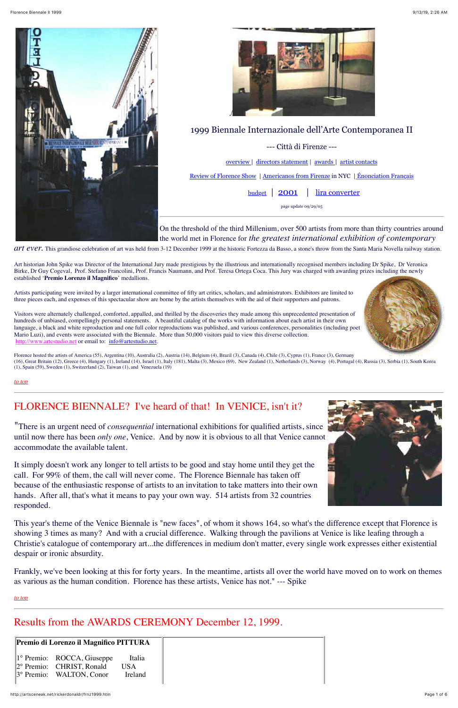



<span id="page-0-3"></span>

## 1999 Biennale Internazionale dell'Arte Contemporanea II

--- Città di Firenze ---

[overview](#page-0-0) | [directors statement](#page-0-1) | [awards](#page-0-2) | [artist contacts](#page-1-0)

[Review of Florence Show](http://hydra-island.com/ARTnewsroom/flashF/BiennaleFi.htm) | [Americanos from Firenze](http://hydra-island.com/ARTnewsroom/flashF/BiennaleFi2000.htm) in NYC [| Énonciation Français](http://www3.nbnet.nb.ca/gueganne/biennale.html)

<span id="page-0-0"></span>[budget](http://artsceneak.net/rickerdonaldr/firenz2.htm) | [2001](http://artsceneak.net/rickerdonaldr/frnz2001.htm) | [lira converter](http://www.italyflash.com/italyflash/shortt/money/converter.shtml)

page update 09/29/05

On the threshold of the third Millenium, over 500 artists from more than thirty countries around the world met in Florence for *the greatest international exhibition of contemporary*

art ever. This grandiose celebration of art was held from 3-12 December 1999 at the historic Fortezza da Basso, a stone's throw from the Santa Maria Novella railway station.

Visitors were alternately challenged, comforted, appalled, and thrilled by the discoveries they made among this unprecedented presentation of hundreds of unbiased, compellingly personal statements. A beautiful catalog of the works with information about each artist in their own language, a black and white reproduction and one full color reproductions was published, and various conferences, personalities (including poet Mario Luzi), and events were associated with the Biennale. More than 50,000 visitors paid to view this diverse collection. [http://www.artestudio.net](http://www.artestudio.net/) or email to: [info@artestudio.net](mailto:info@artestudio.net).

Art historian John Spike was Director of the International Jury made prestigious by the illustrious and internationally recognised members including Dr Spike, Dr Veronica Birke, Dr Guy Cogeval, Prof. Stefano Francolini, Prof. Francis Naumann, and Prof. Teresa Ortega Coca. This Jury was charged with awarding prizes including the newly established '**Premio Lorenzo il Magnifico**' medallions.

Florence hosted the artists of America (55), Argentina (10), Australia (2), Austria (14), Belgium (4), Brazil (3), Canada (4), Chile (3), Cyprus (1), France (3), Germany (16), Great Britain (12), Greece (4), Hungary (1), Ireland (14), Israel (1), Italy (181), Malta (3), Mexico (69), New Zealand (1), Netherlands (3), Norway (4), Portugal (4), Russia (3), Serbia (1), South Korea (1), Spain (59), Sweden (1), Switzerland (2), Taiwan (1), and Venezuela (19)

Artists participating were invited by a larger international committee of fifty art critics, scholars, and administrators. Exhibitors are limited to three pieces each, and expenses of this spectacular show are borne by the artists themselves with the aid of their supporters and patrons.

*[to top](#page-0-3)*

## <span id="page-0-1"></span>FLORENCE BIENNALE? I've heard of that! In VENICE, isn't it?

"There is an urgent need of *consequential* international exhibitions for qualified artists, since until now there has been *only one*, Venice. And by now it is obvious to all that Venice cannot accommodate the available talent.

It simply doesn't work any longer to tell artists to be good and stay home until they get the call. For 99% of them, the call will never come. The Florence Biennale has taken off because of the enthusiastic response of artists to an invitation to take matters into their own hands. After all, that's what it means to pay your own way. 514 artists from 32 countries responded.



This year's theme of the Venice Biennale is "new faces", of whom it shows 164, so what's the difference except that Florence is showing 3 times as many? And with a crucial difference. Walking through the pavilions at Venice is like leafing through a Christie's catalogue of contemporary art...the differences in medium don't matter, every single work expresses either existential despair or ironic absurdity.

Frankly, we've been looking at this for forty years. In the meantime, artists all over the world have moved on to work on themes as various as the human condition. Florence has these artists, Venice has not." --- Spike

*[to top](#page-0-3)*

# <span id="page-0-2"></span>Results from the AWARDS CEREMONY December 12, 1999.

| Premio di Lorenzo il Magnifico PITTURA                                                                                 |                                  |
|------------------------------------------------------------------------------------------------------------------------|----------------------------------|
| $\parallel$ 1° Premio: ROCCA, Giuseppe<br>$\ 2^{\circ}$ Premio: CHRIST, Ronald<br>$\parallel$ 3° Premio: WALTON, Conor | Italia<br>USA<br><b>I</b> reland |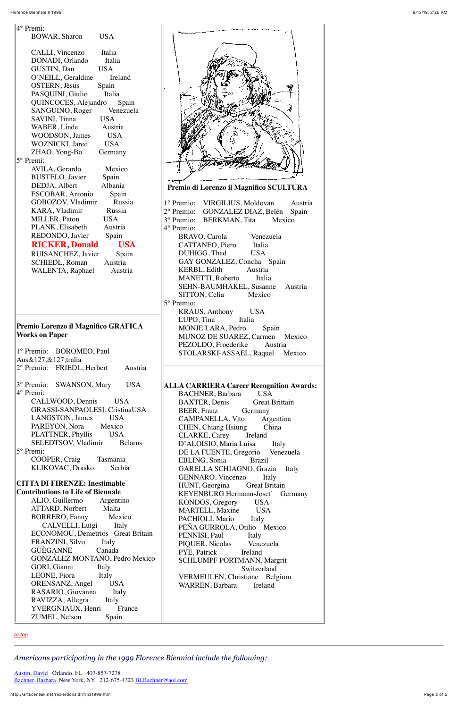| 4° Premi:                                |
|------------------------------------------|
| <b>USA</b><br><b>BOWAR, Sharon</b>       |
|                                          |
| CALLI, Vincenzo<br>Italia                |
| DONADI, Orlando<br>Italia                |
| <b>GUSTIN, Dan</b><br><b>USA</b>         |
| O'NEILL, Geraldine<br>Ireland            |
| <b>OSTERN</b> , Jèsus<br>Spain           |
| Italia<br>PASQUINI, Giulio               |
| QUINCOCES, Alejandro                     |
| Spain<br>Venezuela                       |
| SANGUINO, Roger<br><b>USA</b>            |
| SAVINI, Tinna                            |
| WABER, Linde<br>Austria                  |
| <b>WOODSON</b> , James<br><b>USA</b>     |
| WOZNICKI, Jared<br><b>USA</b>            |
| ZHAO, Yong-Bo<br>Germany                 |
| 5° Premi:                                |
| AVILA, Gerardo<br>Mexico                 |
| <b>BUSTELO</b> , Javier<br>Spain         |
| Albania<br>DEDJA, Albert                 |
| ESCOBAR, Antonio<br>Spain                |
| GOBOZOV, Vladimir<br>Russia              |
| KARA, Vladimir<br>Russia                 |
| MILLER, Paton<br>USA -                   |
| PLANK, Elisabeth<br>Austria              |
| REDONDO, Javier<br>Spain                 |
| <b>RICKER, Donald</b><br><b>USA</b>      |
| RUISANCHEZ, Javier<br>Spain              |
| <b>SCHIEDL, Roman</b><br>Austria         |
| Austria                                  |
| WALENTA, Raphael                         |
|                                          |
|                                          |
|                                          |
|                                          |
|                                          |
| Premio Lorenzo il Magnifico GRAFICA      |
| <b>Works on Paper</b>                    |
|                                          |
| 1° Premio: BOROMEO, Paul                 |
| Aus&127;&127;tralia                      |
| 2º Premio: FRIEDL, Herbert Austria       |
|                                          |
| 3° Premio: SWANSON, Mary USA             |
| 4° Premi:                                |
|                                          |
| CALLWOOD, Dennis USA                     |
| GRASSI-SANPAOLESI, CristinaUSA           |
| LANGSTON, James USA                      |
| PAREYON, Nora Mexico                     |
| PLATTNER, Phyllis USA                    |
| SELEDTSOV, Vladimir Belarus              |
| 5° Premi:                                |
| COOPER, Craig Tasmania                   |
| KLIKOVAC, Drasko Serbia                  |
|                                          |
| <b>CITTA DI FIRENZE: Inestimable</b>     |
| <b>Contributions to Life of Biennale</b> |
| ALIO, Guillermo Argentino                |
| ATTARD, Norbert Malta                    |

[Austin, David](mailto:iceman7@mailcity.com) Orlando, FL 407-857-7278 [Bachner, Barbara](http://www.artliaison.org/bachner) New York, NY 212-675-4323 [BLBachner@aol.com](mailto:BLBachner@aol.com)

| PACHIOLI, Mario<br>Italy<br>PEÑA GURROLA, Otilio Mexico<br>PENNISI, Paul<br>Italy<br>PIQUER, Nicolas Venezuela<br>PYE, Patrick Ireland<br><b>SCHLUMPF PORTMANN, Margrit</b><br>Switzerland<br>VERMEULEN, Christiane Belgium<br><b>WARREN</b> , Barbara<br>Ireland | Mexico<br><b>BORRERO, Fanny</b><br>CALVELLI, Luigi Italy<br>ECONOMOU, Demetrios Great Britain<br><b>FRANZINI, Silvo</b><br>Italy<br>GUÈGANNE<br>Canada<br>GONZÁLEZ MONTAÑO, Pedro Mexico<br>GORI, Gianni<br>Italy<br>LEONE, Fiora<br>Italy<br>ORENSANZ, Angel<br><b>USA</b><br>RASARIO, Giovanna<br>Italy<br>RAVIZZA, Allegra<br>Italy<br>YVERGNIAUX, Henri<br>France<br>ZUMEL, Nelson<br>Spain |
|-------------------------------------------------------------------------------------------------------------------------------------------------------------------------------------------------------------------------------------------------------------------|-------------------------------------------------------------------------------------------------------------------------------------------------------------------------------------------------------------------------------------------------------------------------------------------------------------------------------------------------------------------------------------------------|
|-------------------------------------------------------------------------------------------------------------------------------------------------------------------------------------------------------------------------------------------------------------------|-------------------------------------------------------------------------------------------------------------------------------------------------------------------------------------------------------------------------------------------------------------------------------------------------------------------------------------------------------------------------------------------------|



*[to top](#page-0-3)*

### <span id="page-1-0"></span>*Americans participating in the 1999 Florence Biennial include the following:*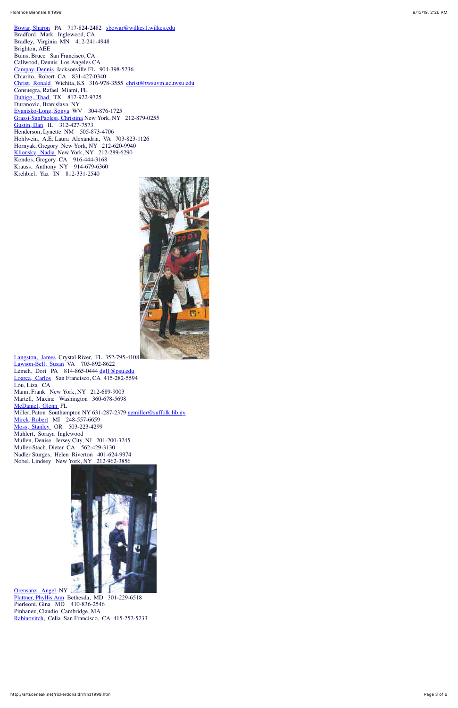[Bowar, Sharon](http://www.fionline.it/santareparata/bowar.html) PA 717-824-2482 [sbowar@wilkes1.wilkes.edu](mailto:sbowar@wilkes1.wilkes.edu) Bradford, Mark Inglewood, CA Bradley, Virginia MN 412-241-4948 Brighton, AEE Buins, Bruce San Francisco, CA Callwood, Dennis Los Angeles CA [Campay, Dennis](mailto:dcampay@aol.com) Jacksonville FL 904-398-5236 Chiarito, Robert CA 831-427-0340 [Christ, Ronald](http://www.giotto.org/bio_ah.html#CHRIST) Wichita, KS 316-978-3555 [christ@twsuvm.uc.twsu.edu](mailto:christ@twsuvm.uc.twsu.edu) Consuegra, Rafael Miami, FL [Duhigg, Thad](mailto:tduhigg@tcu.edu) TX 817-922-9725 Duranovic, Branislava NY [Evanisko-Long, Sonya](mailto:sevanisk@shepherd.wvnet.edu%3e) WV 304-876-1725 [Grassi-SanPaolesi, Christina](mailto:mgrassi@earthlink.net) New York, NY 212-879-0255 [Gustin, Dan](http://www.giotto.org/cimabue/faculty.html) IL 312-427-7573 Henderson, Lynette NM 505-873-4706 Hohlwein, A.E. Laura Alexandria, VA 703-823-1126 Hornyak, Gregory New York, NY 212-620-9940 [Klionsky, Nadia](http://www.nextmonet.com/) New York, NY 212-289-6290 Kondos, Gregory CA 916-444-3168 Krauss, Anthony NY 914-679-6360 Krehbiel, Yaz IN 812-331-2540



[Langston, James](http://www.xtalwind.net/~langston) Crystal River, FL 352-795-4108 [Lawson-Bell, Susan](mailto:lawsonbell@earthlink.net) VA 703-892-8622 Lemeh, Dori PA  $814-865-0444$  [dgl1@psu.edu](mailto:dgl1@psu.edu) [Loarca, Carlos](http://www.somarts.org/) San Francisco, CA 415-282-5594 Lou, Liza CA Mann, Frank New York, NY 212-689-9003 Martell, Maxine Washington 360-678-5698 [McDaniel, Glenn](http://www.infinitehorizons.org/) FL Miller, Paton Southampton NY 631-287-2379 nemiller@suffolk.lib.ny [Mirek, Robert](http://www.imstudio.com/statement.htm) MI 248-557-6659 [Moss, Stanley](http://www.artnet.com/smoss.html) OR 503-223-4299 Muhlert, Soraya Inglewood Mullen, Denise Jersey City, NJ 201-200-3245 Muller-Stach, Dieter CA 562-429-3130 Nadler Sturges, Helen Riverton 401-624-9974 Nobel, Lindsey New York, NY 212-962-3856



[Orensanz, Angel](http://www.orensanz.org/) NY [Plattner, Phyllis Ann](mailto:pplattner@hotmail.com) Bethesda, MD 301-229-6518 Pierleoni, Gina MD 410-836-2546 Pinhanez, Claudio Cambridge, MA [Rabinovitch](mailto:CRX@unx.berkeley.edu), Celia San Francisco, CA 415-252-5233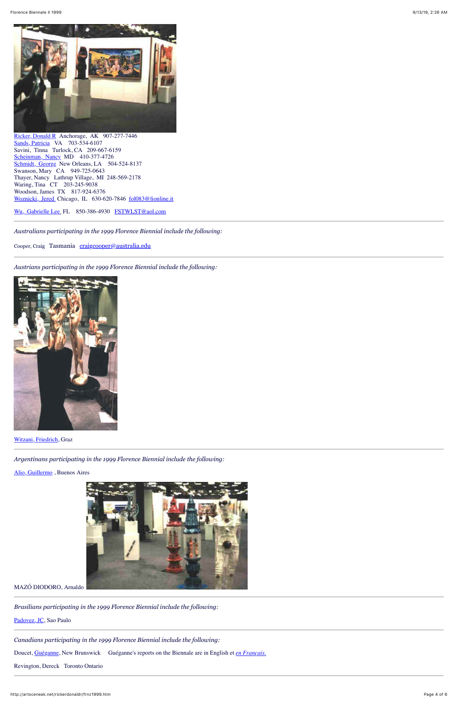

[Ricker, Donald R](http://www.artsceneak.com/) Anchorage, AK 907-277-7446 [Sands, Patricia](http://www.spiritart.org/PattySands) VA 703-534-6107 Savini, Tinna Turlock, CA 209-667-6159 [Scheinman, Nancy](mailto:nscheinman@aol.com) MD 410-377-4726 [Schmidt, George](http://www.georgeschmidt.com/) New Orleans, LA 504-524-8137 Swanson, Mary CA 949-725-0643 Thayer, Nancy Lathrup Village, MI 248-569-2178 Waring, Tina CT 203-245-9038 Woodson, James TX 817-924-6376 [Woznicki, Jered](mailto:fol083@fionline.it) Chicago, IL 630-620-7846 [fol083@fionline.it](mailto:fol083@fionline.it)

[Wu, Gabrielle Lee](http://mailer.fsu.edu/~gwlee/art3560c/instructor.html) FL 850-386-4930 [FSTWLST@aol.com](mailto:FSTWLST@aol.com)

*Australians participating in the 1999 Florence Biennial include the following:*

Cooper, Craig Tasmania [craigcooper@australia.edu](mailto:craigcooper@australia.edu)

*Austrians participating in the 1999 Florence Biennial include the following:*



[Witzani, Friedrich](http://www.fwitzani.at/), Graz

*Argentinans participating in the 1999 Florence Biennial include the following:*

[Alio, Guillermo](mailto:artea@com.ar/alio) , Buenos Aires



MAZÓ DIODORO, Arnaldo

*Brasilians participating in the 1999 Florence Biennial include the following:*

[Padovez, JC,](http://www.geocities.com/padovez) Sao Paulo

*Canadians participating in the 1999 Florence Biennial include the following:*

Doucet, [Guéganne,](http://www3.nbnet.nb.ca/gueganne) New Brunswick Guéganne's reports on the Biennale are in English et *[en Français.](http://ww3.nbnet.nb.ca/gueganne/biennale.html)*

Revington, Dereck Toronto Ontario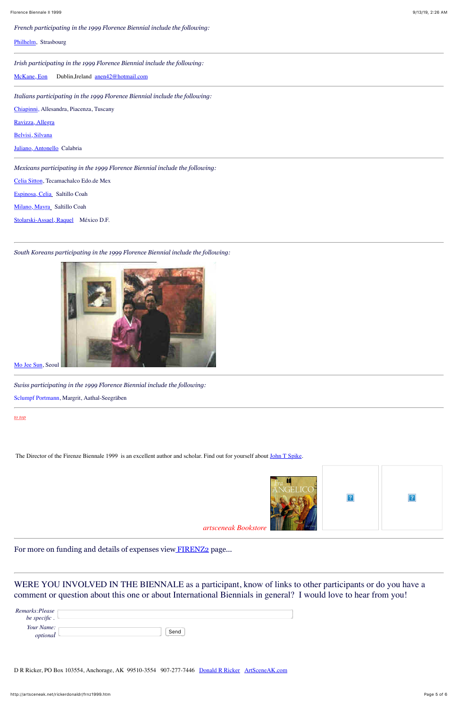*French participating in the 1999 Florence Biennial include the following:*

### [Philhelm,](mailto:phphilhelm@aol.com) Strasbourg

*Irish participating in the 1999 Florence Biennial include the following:*

[McKane, Eon](http://bubblegum.parsons.edu/~eokane/eok/resume.html) Dublin,Ireland [anen42@hotmail.com](mailto:anen42@hotmail.com)

*Italians participating in the 1999 Florence Biennial include the following:*

[Chiapinni](http://space.tin.it/arte/sttorre), Allesandra, Piacenza, Tuscany

[Ravizza, Allegra](mailto:allegraravizza@tin.it)

[Belvisi, Silvana](mailto:belvisi@ica-net.it)

[Juliano, Antonello](mailto:jantoscultore@hotmail.com) Calabria

*Mexicans participating in the 1999 Florence Biennial include the following:*

[Celia Sitton,](mailto:celiasitton@hotmail.com) Tecamachalco Edo.de Mex

[Espinosa, Celia](mailto:mision2@prodigy.net.mx) Saltillo Coah

[Milano, Mayra](mailto:maymil@hotmail.com) Saltillo Coah

[Stolarski-Assael, Raquel](mailto:kolte@mail.internet.com.mx) México D.F.

| Remarks:Please         |      |
|------------------------|------|
| be specific.           |      |
| Your Name:<br>optional | Send |

D R Ricker, PO Box 103554, Anchorage, AK 99510-3554 907-277-7446 [Donald R Ricker](mailto:donaldricker@gci.net) [ArtSceneAK.com](http://www.artsceneak.com/)

#### *South Koreans participating in the 1999 Florence Biennial include the following:*



[Mo Jee Sun,](mailto:tk0375@hanmail.com) Seoul

*Swiss participating in the 1999 Florence Biennial include the following:*

Sclumpf Portmann, Margrit, Aathal-Seegräben

*[to top](#page-0-3)*

The Director of the Firenze Biennale 1999 is an excellent author and scholar. Find out for yourself about *John* T Spike.



 $\overline{?}$ 



For more on funding and details of expenses view [FIRENZ2](http://artsceneak.net/rickerdonaldr/firenz2.htm) page...

WERE YOU INVOLVED IN THE BIENNALE as a participant, know of links to other participants or do you have a comment or question about this one or about International Biennials in general? I would love to hear from you!